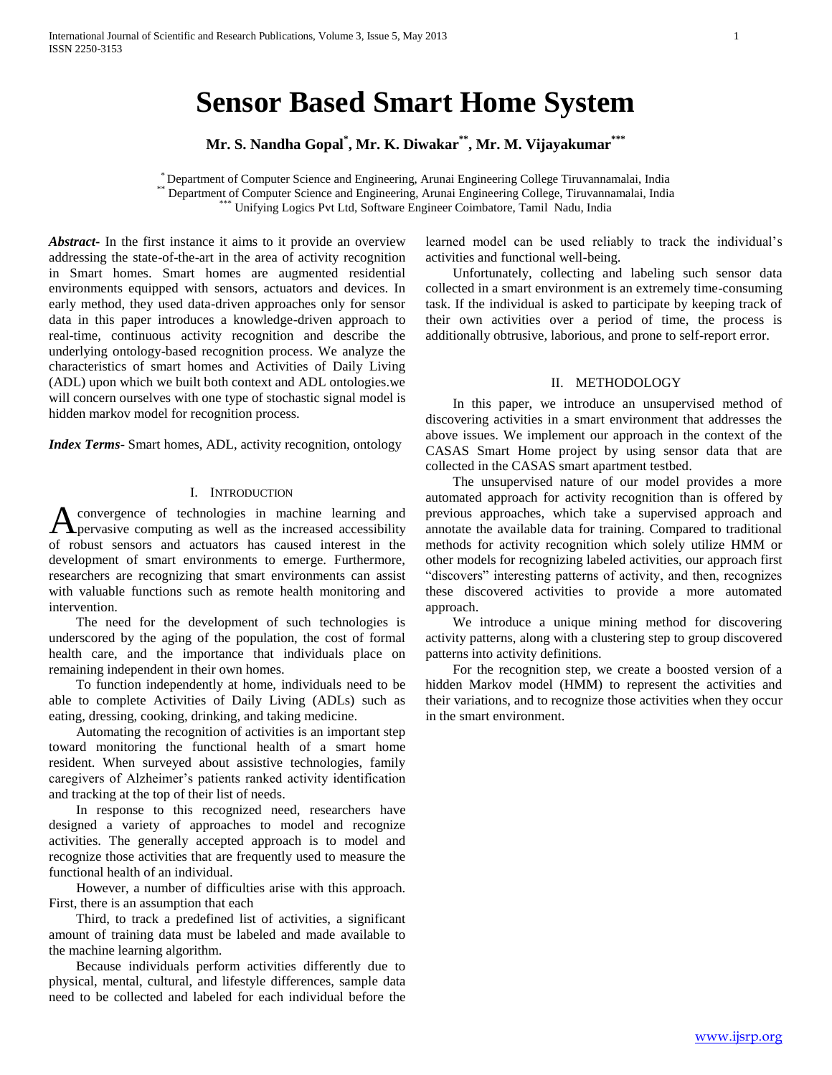# **Sensor Based Smart Home System**

**Mr. S. Nandha Gopal\* , Mr. K. Diwakar\*\* , Mr. M. Vijayakumar\*\*\***

\* Department of Computer Science and Engineering, Arunai Engineering College Tiruvannamalai, India \*\* Department of Computer Science and Engineering, Arunai Engineering College, Tiruvannamalai, India <sup>\*</sup> Unifying Logics Pvt Ltd, Software Engineer Coimbatore, Tamil Nadu, India

*Abstract***-** In the first instance it aims to it provide an overview addressing the state-of-the-art in the area of activity recognition in Smart homes. Smart homes are augmented residential environments equipped with sensors, actuators and devices. In early method, they used data-driven approaches only for sensor data in this paper introduces a knowledge-driven approach to real-time, continuous activity recognition and describe the underlying ontology-based recognition process. We analyze the characteristics of smart homes and Activities of Daily Living (ADL) upon which we built both context and ADL ontologies.we will concern ourselves with one type of stochastic signal model is hidden markov model for recognition process.

*Index Terms*- Smart homes, ADL, activity recognition, ontology

# I. INTRODUCTION

convergence of technologies in machine learning and A convergence of technologies in machine learning and pervasive computing as well as the increased accessibility of robust sensors and actuators has caused interest in the development of smart environments to emerge. Furthermore, researchers are recognizing that smart environments can assist with valuable functions such as remote health monitoring and intervention.

 The need for the development of such technologies is underscored by the aging of the population, the cost of formal health care, and the importance that individuals place on remaining independent in their own homes.

 To function independently at home, individuals need to be able to complete Activities of Daily Living (ADLs) such as eating, dressing, cooking, drinking, and taking medicine.

 Automating the recognition of activities is an important step toward monitoring the functional health of a smart home resident. When surveyed about assistive technologies, family caregivers of Alzheimer's patients ranked activity identification and tracking at the top of their list of needs.

 In response to this recognized need, researchers have designed a variety of approaches to model and recognize activities. The generally accepted approach is to model and recognize those activities that are frequently used to measure the functional health of an individual.

 However, a number of difficulties arise with this approach. First, there is an assumption that each

 Third, to track a predefined list of activities, a significant amount of training data must be labeled and made available to the machine learning algorithm.

 Because individuals perform activities differently due to physical, mental, cultural, and lifestyle differences, sample data need to be collected and labeled for each individual before the

learned model can be used reliably to track the individual's activities and functional well-being.

 Unfortunately, collecting and labeling such sensor data collected in a smart environment is an extremely time-consuming task. If the individual is asked to participate by keeping track of their own activities over a period of time, the process is additionally obtrusive, laborious, and prone to self-report error.

## II. METHODOLOGY

 In this paper, we introduce an unsupervised method of discovering activities in a smart environment that addresses the above issues. We implement our approach in the context of the CASAS Smart Home project by using sensor data that are collected in the CASAS smart apartment testbed.

 The unsupervised nature of our model provides a more automated approach for activity recognition than is offered by previous approaches, which take a supervised approach and annotate the available data for training. Compared to traditional methods for activity recognition which solely utilize HMM or other models for recognizing labeled activities, our approach first "discovers" interesting patterns of activity, and then, recognizes these discovered activities to provide a more automated approach.

 We introduce a unique mining method for discovering activity patterns, along with a clustering step to group discovered patterns into activity definitions.

 For the recognition step, we create a boosted version of a hidden Markov model (HMM) to represent the activities and their variations, and to recognize those activities when they occur in the smart environment.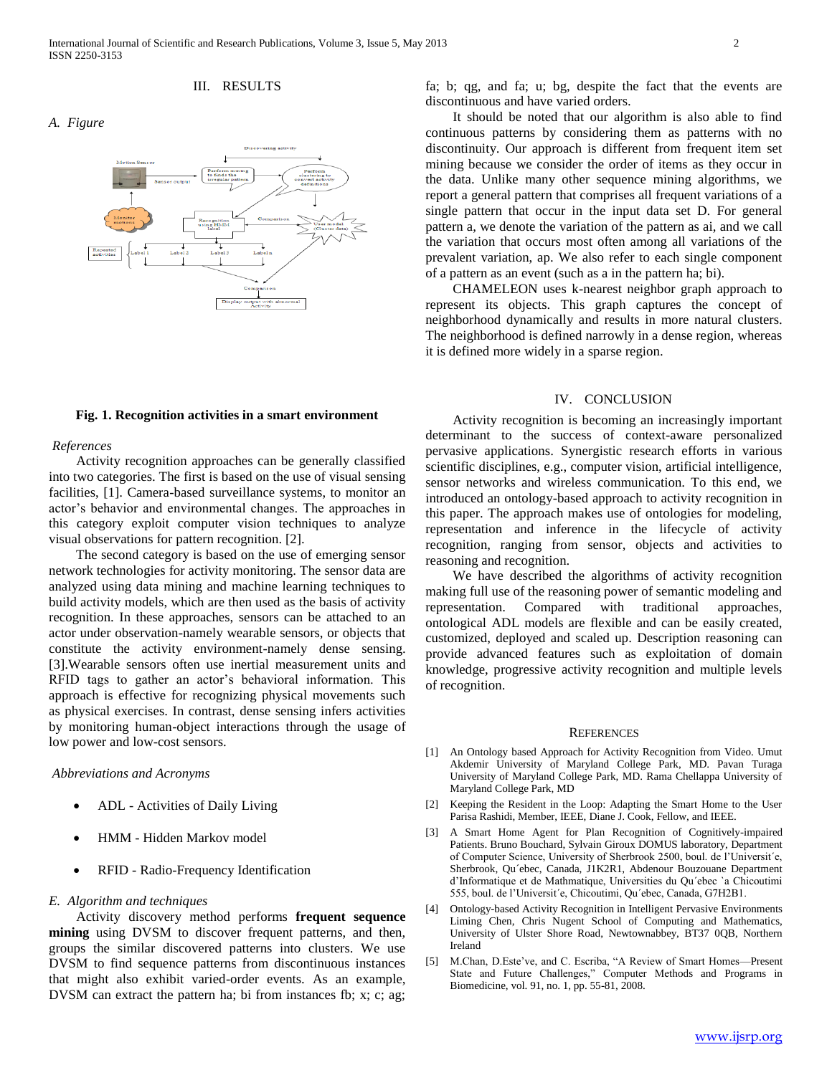# III. RESULTS





#### **Fig. 1. Recognition activities in a smart environment**

## *References*

 Activity recognition approaches can be generally classified into two categories. The first is based on the use of visual sensing facilities, [1]. Camera-based surveillance systems, to monitor an actor's behavior and environmental changes. The approaches in this category exploit computer vision techniques to analyze visual observations for pattern recognition. [2].

 The second category is based on the use of emerging sensor network technologies for activity monitoring. The sensor data are analyzed using data mining and machine learning techniques to build activity models, which are then used as the basis of activity recognition. In these approaches, sensors can be attached to an actor under observation-namely wearable sensors, or objects that constitute the activity environment-namely dense sensing. [3].Wearable sensors often use inertial measurement units and RFID tags to gather an actor's behavioral information. This approach is effective for recognizing physical movements such as physical exercises. In contrast, dense sensing infers activities by monitoring human-object interactions through the usage of low power and low-cost sensors.

### *Abbreviations and Acronyms*

- ADL Activities of Daily Living
- HMM Hidden Markov model
- RFID Radio-Frequency Identification

## *E. Algorithm and techniques*

 Activity discovery method performs **frequent sequence mining** using DVSM to discover frequent patterns, and then, groups the similar discovered patterns into clusters. We use DVSM to find sequence patterns from discontinuous instances that might also exhibit varied-order events. As an example, DVSM can extract the pattern ha; bi from instances fb; x; c; ag;

fa; b; qg, and fa; u; bg, despite the fact that the events are discontinuous and have varied orders.

 It should be noted that our algorithm is also able to find continuous patterns by considering them as patterns with no discontinuity. Our approach is different from frequent item set mining because we consider the order of items as they occur in the data. Unlike many other sequence mining algorithms, we report a general pattern that comprises all frequent variations of a single pattern that occur in the input data set D. For general pattern a, we denote the variation of the pattern as ai, and we call the variation that occurs most often among all variations of the prevalent variation, ap. We also refer to each single component of a pattern as an event (such as a in the pattern ha; bi).

 CHAMELEON uses k-nearest neighbor graph approach to represent its objects. This graph captures the concept of neighborhood dynamically and results in more natural clusters. The neighborhood is defined narrowly in a dense region, whereas it is defined more widely in a sparse region.

## IV. CONCLUSION

 Activity recognition is becoming an increasingly important determinant to the success of context-aware personalized pervasive applications. Synergistic research efforts in various scientific disciplines, e.g., computer vision, artificial intelligence, sensor networks and wireless communication. To this end, we introduced an ontology-based approach to activity recognition in this paper. The approach makes use of ontologies for modeling, representation and inference in the lifecycle of activity recognition, ranging from sensor, objects and activities to reasoning and recognition.

 We have described the algorithms of activity recognition making full use of the reasoning power of semantic modeling and representation. Compared with traditional approaches, ontological ADL models are flexible and can be easily created, customized, deployed and scaled up. Description reasoning can provide advanced features such as exploitation of domain knowledge, progressive activity recognition and multiple levels of recognition.

#### **REFERENCES**

- [1] An Ontology based Approach for Activity Recognition from Video. Umut Akdemir University of Maryland College Park, MD. Pavan Turaga University of Maryland College Park, MD. Rama Chellappa University of Maryland College Park, MD
- [2] Keeping the Resident in the Loop: Adapting the Smart Home to the User Parisa Rashidi, Member, IEEE, Diane J. Cook, Fellow, and IEEE.
- [3] A Smart Home Agent for Plan Recognition of Cognitively-impaired Patients. Bruno Bouchard, Sylvain Giroux DOMUS laboratory, Department of Computer Science, University of Sherbrook 2500, boul. de l'Universit´e, Sherbrook, Qu´ebec, Canada, J1K2R1, Abdenour Bouzouane Department d'Informatique et de Mathmatique, Universities du Qu´ebec `a Chicoutimi 555, boul. de l'Universit´e, Chicoutimi, Qu´ebec, Canada, G7H2B1.
- [4] Ontology-based Activity Recognition in Intelligent Pervasive Environments Liming Chen, Chris Nugent School of Computing and Mathematics, University of Ulster Shore Road, Newtownabbey, BT37 0QB, Northern Ireland
- [5] M.Chan, D.Este've, and C. Escriba, "A Review of Smart Homes—Present State and Future Challenges," Computer Methods and Programs in Biomedicine, vol. 91, no. 1, pp. 55-81, 2008.